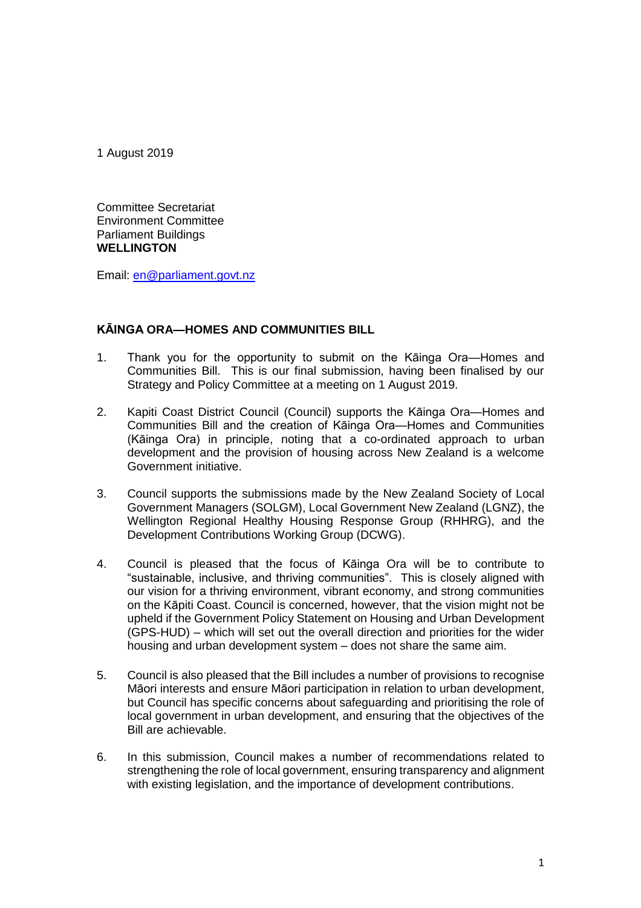1 August 2019

Committee Secretariat Environment Committee Parliament Buildings **WELLINGTON**

Email: en@parliament.govt.nz

# **KĀINGA ORA—HOMES AND COMMUNITIES BILL**

- 1. Thank you for the opportunity to submit on the Kāinga Ora—Homes and Communities Bill. This is our final submission, having been finalised by our Strategy and Policy Committee at a meeting on 1 August 2019.
- 2. Kapiti Coast District Council (Council) supports the Kāinga Ora—Homes and Communities Bill and the creation of Kāinga Ora—Homes and Communities (Kāinga Ora) in principle, noting that a co-ordinated approach to urban development and the provision of housing across New Zealand is a welcome Government initiative.
- 3. Council supports the submissions made by the New Zealand Society of Local Government Managers (SOLGM), Local Government New Zealand (LGNZ), the Wellington Regional Healthy Housing Response Group (RHHRG), and the Development Contributions Working Group (DCWG).
- 4. Council is pleased that the focus of Kāinga Ora will be to contribute to "sustainable, inclusive, and thriving communities". This is closely aligned with our vision for a thriving environment, vibrant economy, and strong communities on the Kāpiti Coast. Council is concerned, however, that the vision might not be upheld if the Government Policy Statement on Housing and Urban Development (GPS-HUD) – which will set out the overall direction and priorities for the wider housing and urban development system – does not share the same aim.
- 5. Council is also pleased that the Bill includes a number of provisions to recognise Māori interests and ensure Māori participation in relation to urban development, but Council has specific concerns about safeguarding and prioritising the role of local government in urban development, and ensuring that the objectives of the Bill are achievable.
- 6. In this submission, Council makes a number of recommendations related to strengthening the role of local government, ensuring transparency and alignment with existing legislation, and the importance of development contributions.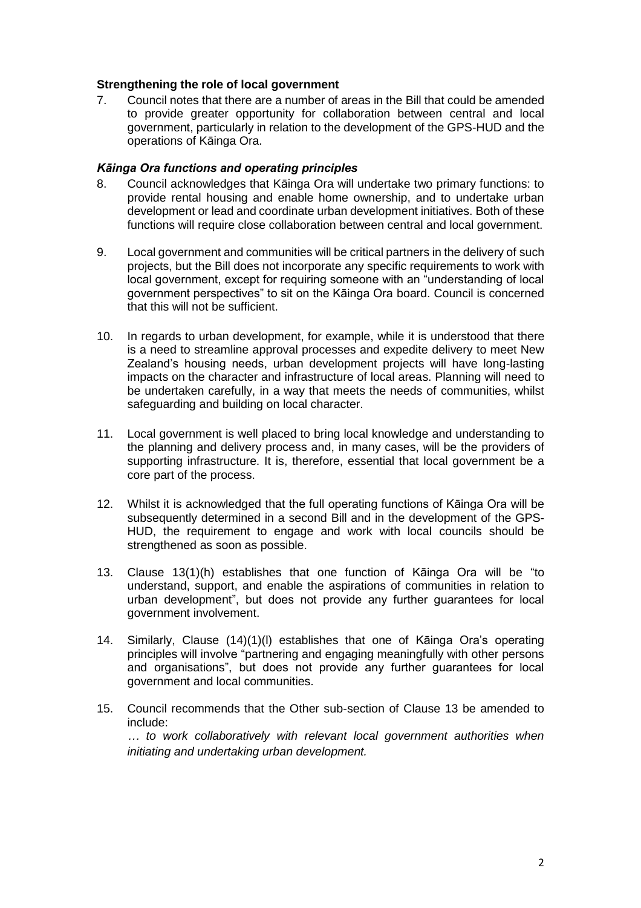# **Strengthening the role of local government**

7. Council notes that there are a number of areas in the Bill that could be amended to provide greater opportunity for collaboration between central and local government, particularly in relation to the development of the GPS-HUD and the operations of Kāinga Ora.

### *Kāinga Ora functions and operating principles*

- 8. Council acknowledges that Kāinga Ora will undertake two primary functions: to provide rental housing and enable home ownership, and to undertake urban development or lead and coordinate urban development initiatives. Both of these functions will require close collaboration between central and local government.
- 9. Local government and communities will be critical partners in the delivery of such projects, but the Bill does not incorporate any specific requirements to work with local government, except for requiring someone with an "understanding of local government perspectives" to sit on the Kāinga Ora board. Council is concerned that this will not be sufficient.
- 10. In regards to urban development, for example, while it is understood that there is a need to streamline approval processes and expedite delivery to meet New Zealand's housing needs, urban development projects will have long-lasting impacts on the character and infrastructure of local areas. Planning will need to be undertaken carefully, in a way that meets the needs of communities, whilst safeguarding and building on local character.
- 11. Local government is well placed to bring local knowledge and understanding to the planning and delivery process and, in many cases, will be the providers of supporting infrastructure. It is, therefore, essential that local government be a core part of the process.
- 12. Whilst it is acknowledged that the full operating functions of Kāinga Ora will be subsequently determined in a second Bill and in the development of the GPS-HUD, the requirement to engage and work with local councils should be strengthened as soon as possible.
- 13. Clause 13(1)(h) establishes that one function of Kāinga Ora will be "to understand, support, and enable the aspirations of communities in relation to urban development", but does not provide any further guarantees for local government involvement.
- 14. Similarly, Clause (14)(1)(l) establishes that one of Kāinga Ora's operating principles will involve "partnering and engaging meaningfully with other persons and organisations", but does not provide any further guarantees for local government and local communities.
- 15. Council recommends that the Other sub-section of Clause 13 be amended to include:

*… to work collaboratively with relevant local government authorities when initiating and undertaking urban development.*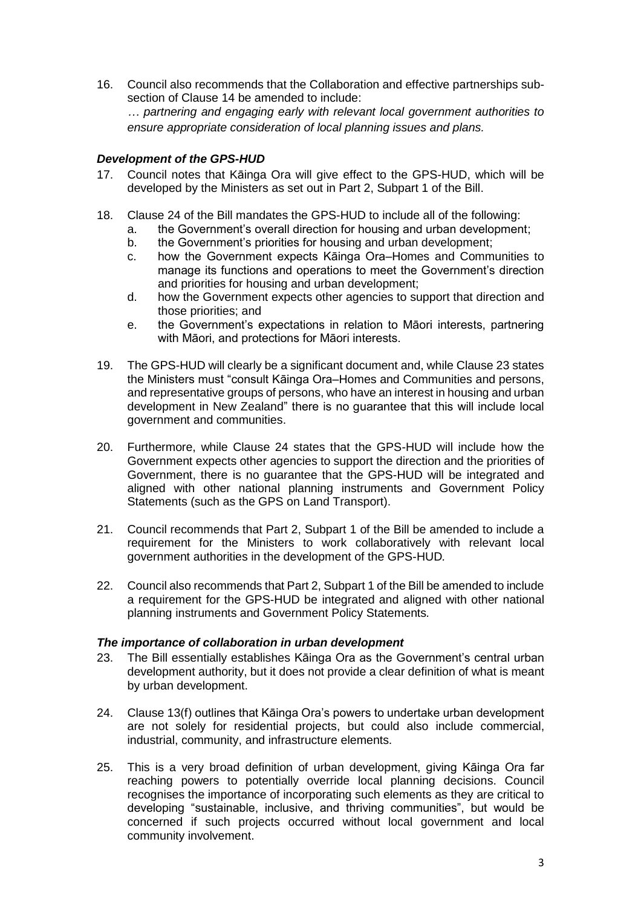16. Council also recommends that the Collaboration and effective partnerships subsection of Clause 14 be amended to include: *… partnering and engaging early with relevant local government authorities to ensure appropriate consideration of local planning issues and plans.*

# *Development of the GPS-HUD*

- 17. Council notes that Kāinga Ora will give effect to the GPS-HUD, which will be developed by the Ministers as set out in Part 2, Subpart 1 of the Bill.
- 18. Clause 24 of the Bill mandates the GPS-HUD to include all of the following:
	- a. the Government's overall direction for housing and urban development;
	- b. the Government's priorities for housing and urban development;
	- c. how the Government expects Kāinga Ora–Homes and Communities to manage its functions and operations to meet the Government's direction and priorities for housing and urban development;
	- d. how the Government expects other agencies to support that direction and those priorities; and
	- e. the Government's expectations in relation to Māori interests, partnering with Māori, and protections for Māori interests.
- 19. The GPS-HUD will clearly be a significant document and, while Clause 23 states the Ministers must "consult Kāinga Ora–Homes and Communities and persons, and representative groups of persons, who have an interest in housing and urban development in New Zealand" there is no guarantee that this will include local government and communities.
- 20. Furthermore, while Clause 24 states that the GPS-HUD will include how the Government expects other agencies to support the direction and the priorities of Government, there is no guarantee that the GPS-HUD will be integrated and aligned with other national planning instruments and Government Policy Statements (such as the GPS on Land Transport).
- 21. Council recommends that Part 2, Subpart 1 of the Bill be amended to include a requirement for the Ministers to work collaboratively with relevant local government authorities in the development of the GPS-HUD*.*
- 22. Council also recommends that Part 2, Subpart 1 of the Bill be amended to include a requirement for the GPS-HUD be integrated and aligned with other national planning instruments and Government Policy Statements*.*

# *The importance of collaboration in urban development*

- 23. The Bill essentially establishes Kāinga Ora as the Government's central urban development authority, but it does not provide a clear definition of what is meant by urban development.
- 24. Clause 13(f) outlines that Kāinga Ora's powers to undertake urban development are not solely for residential projects, but could also include commercial, industrial, community, and infrastructure elements.
- 25. This is a very broad definition of urban development, giving Kāinga Ora far reaching powers to potentially override local planning decisions. Council recognises the importance of incorporating such elements as they are critical to developing "sustainable, inclusive, and thriving communities", but would be concerned if such projects occurred without local government and local community involvement.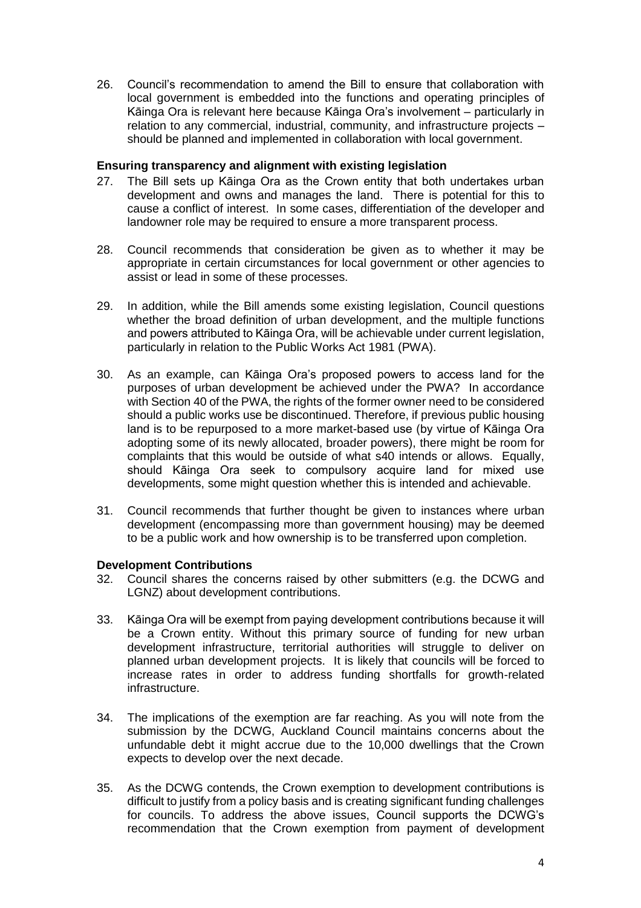26. Council's recommendation to amend the Bill to ensure that collaboration with local government is embedded into the functions and operating principles of Kāinga Ora is relevant here because Kāinga Ora's involvement – particularly in relation to any commercial, industrial, community, and infrastructure projects – should be planned and implemented in collaboration with local government.

### **Ensuring transparency and alignment with existing legislation**

- 27. The Bill sets up Kāinga Ora as the Crown entity that both undertakes urban development and owns and manages the land. There is potential for this to cause a conflict of interest. In some cases, differentiation of the developer and landowner role may be required to ensure a more transparent process.
- 28. Council recommends that consideration be given as to whether it may be appropriate in certain circumstances for local government or other agencies to assist or lead in some of these processes.
- 29. In addition, while the Bill amends some existing legislation, Council questions whether the broad definition of urban development, and the multiple functions and powers attributed to Kāinga Ora, will be achievable under current legislation, particularly in relation to the Public Works Act 1981 (PWA).
- 30. As an example, can Kāinga Ora's proposed powers to access land for the purposes of urban development be achieved under the PWA? In accordance with Section 40 of the PWA, the rights of the former owner need to be considered should a public works use be discontinued. Therefore, if previous public housing land is to be repurposed to a more market-based use (by virtue of Kāinga Ora adopting some of its newly allocated, broader powers), there might be room for complaints that this would be outside of what s40 intends or allows. Equally, should Kāinga Ora seek to compulsory acquire land for mixed use developments, some might question whether this is intended and achievable.
- 31. Council recommends that further thought be given to instances where urban development (encompassing more than government housing) may be deemed to be a public work and how ownership is to be transferred upon completion.

#### **Development Contributions**

- 32. Council shares the concerns raised by other submitters (e.g. the DCWG and LGNZ) about development contributions.
- 33. Kāinga Ora will be exempt from paying development contributions because it will be a Crown entity. Without this primary source of funding for new urban development infrastructure, territorial authorities will struggle to deliver on planned urban development projects. It is likely that councils will be forced to increase rates in order to address funding shortfalls for growth-related infrastructure.
- 34. The implications of the exemption are far reaching. As you will note from the submission by the DCWG, Auckland Council maintains concerns about the unfundable debt it might accrue due to the 10,000 dwellings that the Crown expects to develop over the next decade.
- 35. As the DCWG contends, the Crown exemption to development contributions is difficult to justify from a policy basis and is creating significant funding challenges for councils. To address the above issues, Council supports the DCWG's recommendation that the Crown exemption from payment of development